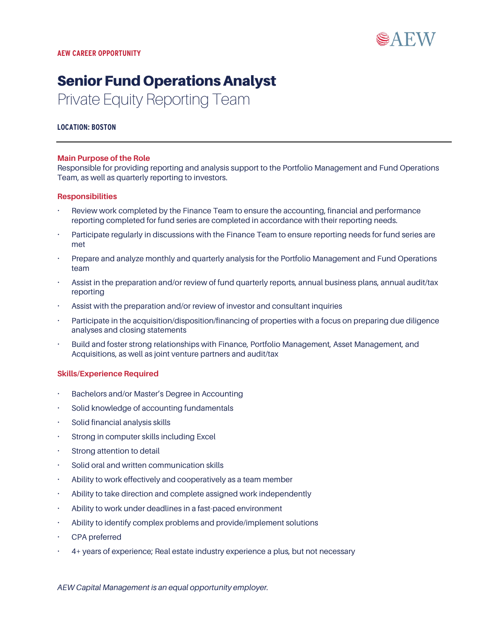

# Senior Fund Operations Analyst Private Equity Reporting Team

#### **LOCATION: BOSTON**

#### **Main Purpose of the Role**

Responsible for providing reporting and analysis support to the Portfolio Management and Fund Operations Team, as well as quarterly reporting to investors.

#### **Responsibilities**

- Review work completed by the Finance Team to ensure the accounting, financial and performance reporting completed for fund series are completed in accordance with their reporting needs.
- Participate regularly in discussions with the Finance Team to ensure reporting needs for fund series are met
- Prepare and analyze monthly and quarterly analysis for the Portfolio Management and Fund Operations team
- Assist in the preparation and/or review of fund quarterly reports, annual business plans, annual audit/tax reporting
- Assist with the preparation and/or review of investor and consultant inquiries
- Participate in the acquisition/disposition/financing of properties with a focus on preparing due diligence analyses and closing statements
- Build and foster strong relationships with Finance, Portfolio Management, Asset Management, and Acquisitions, as well as joint venture partners and audit/tax

#### **Skills/Experience Required**

- Bachelors and/or Master's Degree in Accounting
- Solid knowledge of accounting fundamentals
- Solid financial analysis skills
- Strong in computer skills including Excel
- Strong attention to detail
- Solid oral and written communication skills
- Ability to work effectively and cooperatively as a team member
- Ability to take direction and complete assigned work independently
- Ability to work under deadlines in a fast-paced environment
- Ability to identify complex problems and provide/implement solutions
- CPA preferred
- 4+ years of experience; Real estate industry experience a plus, but not necessary

*AEW Capital Management is an equal opportunity employer.*